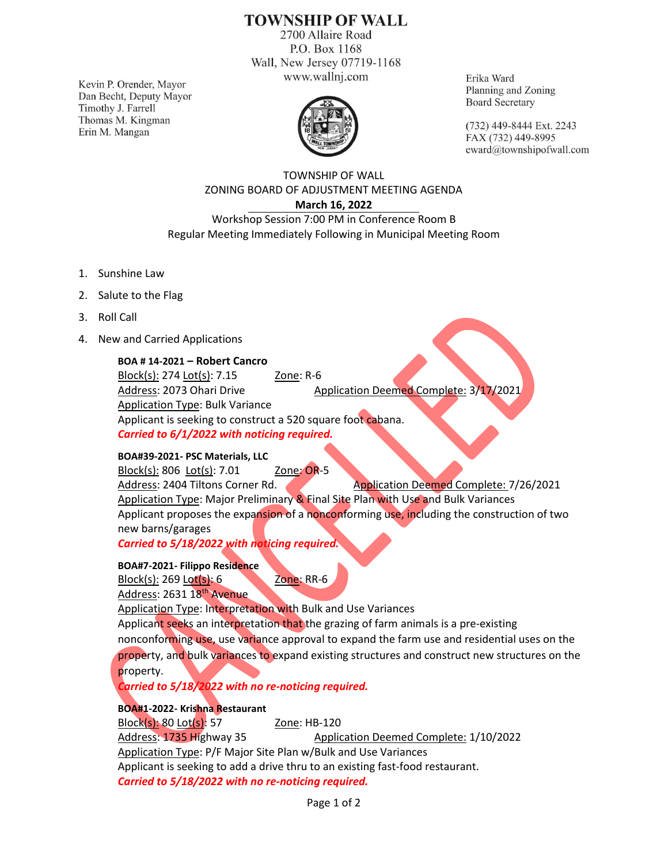## **TOWNSHIP OF WALL**

2700 Allaire Road P.O. Box 1168 Wall, New Jersey 07719-1168 www.wallnj.com

Kevin P. Orender, Mayor Dan Becht, Deputy Mayor Timothy J. Farrell Thomas M. Kingman Erin M. Mangan



Erika Ward Planning and Zoning **Board Secretary** 

(732) 449-8444 Ext. 2243 FAX (732) 449-8995 eward@townshipofwall.com

TOWNSHIP OF WALL ZONING BOARD OF ADJUSTMENT MEETING AGENDA **March 16, 2022**

Workshop Session 7:00 PM in Conference Room B Regular Meeting Immediately Following in Municipal Meeting Room

- 1. Sunshine Law
- 2. Salute to the Flag
- 3. Roll Call
- 4. New and Carried Applications

**BOA # 14-2021 – Robert Cancro**

Block(s): 274 Lot(s): 7.15 Zone: R-6 Address: 2073 Ohari Drive Application Deemed Complete: 3/17/2021 Application Type: Bulk Variance Applicant is seeking to construct a 520 square foot cabana. *Carried to 6/1/2022 with noticing required.*

## **BOA#39-2021- PSC Materials, LLC**

Block(s): 806 Lot(s): 7.01 Zone: OR-5 Address: 2404 Tiltons Corner Rd. Application Deemed Complete: 7/26/2021 Application Type: Major Preliminary & Final Site Plan with Use and Bulk Variances Applicant proposes the expansion of a nonconforming use, including the construction of two new barns/garages

*Carried to 5/18/2022 with noticing required.*

**BOA#7-2021- Filippo Residence** Block(s): 269 Lot(s): 6 Zone: RR-6

Address: 2631 18<sup>th</sup> Avenue

Application Type: Interpretation with Bulk and Use Variances Applicant seeks an interpretation that the grazing of farm animals is a pre-existing nonconforming use, use variance approval to expand the farm use and residential uses on the property, and bulk variances to expand existing structures and construct new structures on the property.

*Carried to 5/18/2022 with no re-noticing required.*

## **BOA#1-2022- Krishna Restaurant**

Block(s): 80 Lot(s): 57 20ne: HB-120 Address: 1735 Highway 35 Application Deemed Complete: 1/10/2022 Application Type: P/F Major Site Plan w/Bulk and Use Variances Applicant is seeking to add a drive thru to an existing fast-food restaurant. *Carried to 5/18/2022 with no re-noticing required.*